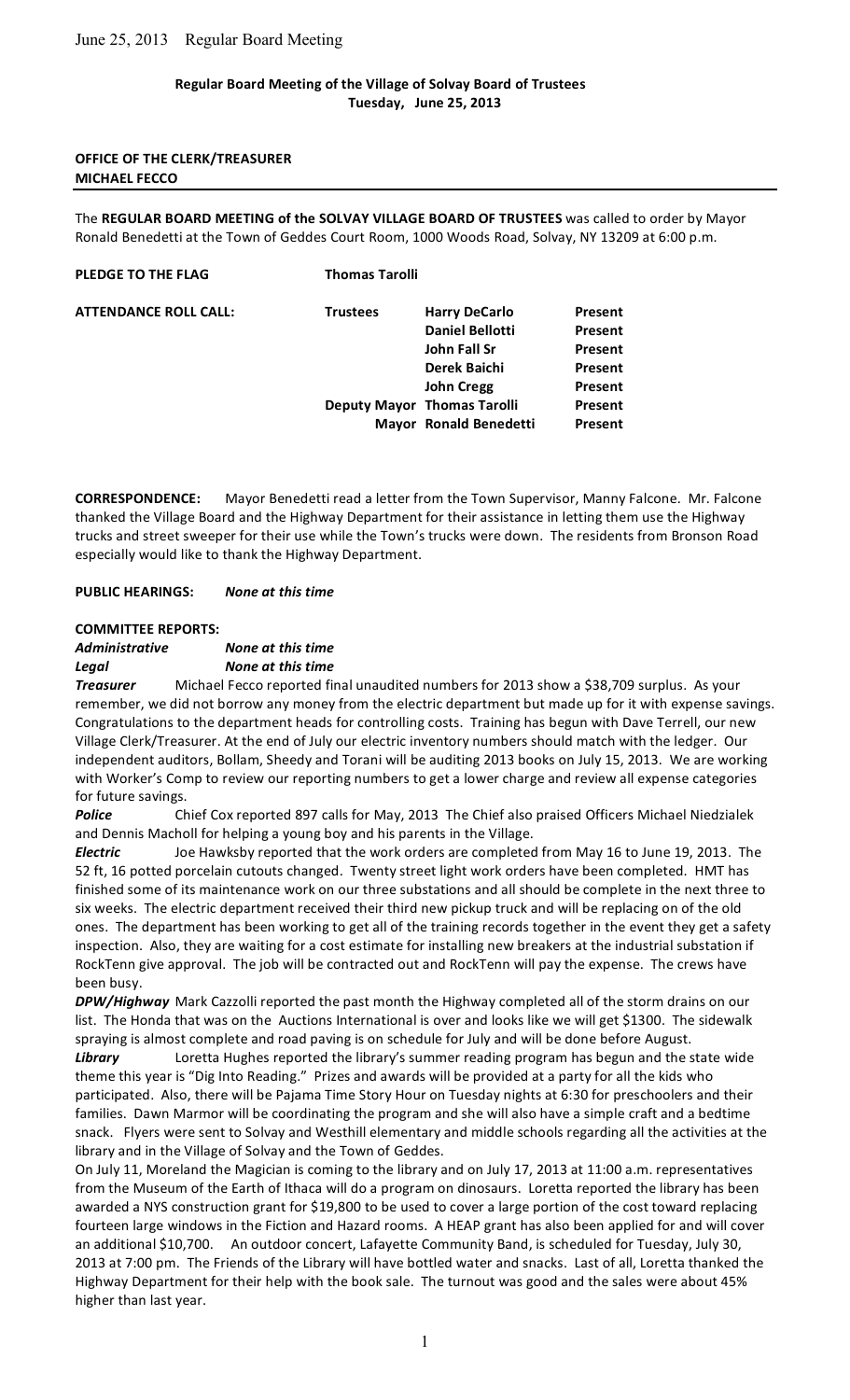## June 25, 2013 Regular Board Meeting

### **Regular
Board
Meeting
of
the
Village
of
Solvay
Board
of
Trustees Tuesday,

June
25,
2013**

#### **OFFICE
OF
THE
CLERK/TREASURER MICHAEL
FECCO**

The REGULAR BOARD MEETING of the SOLVAY VILLAGE BOARD OF TRUSTEES was called to order by Mayor Ronald Benedetti at the Town of Geddes Court Room, 1000 Woods Road, Solvay, NY 13209 at 6:00 p.m.

#### **PLEDGE TO THE FLAG** Thomas Tarolli

| <b>ATTENDANCE ROLL CALL:</b> | <b>Trustees</b> | <b>Harry DeCarlo</b>               | Present |
|------------------------------|-----------------|------------------------------------|---------|
|                              |                 | <b>Daniel Bellotti</b>             | Present |
|                              |                 | John Fall Sr                       | Present |
|                              |                 | Derek Baichi                       | Present |
|                              |                 | <b>John Cregg</b>                  | Present |
|                              |                 | <b>Deputy Mayor Thomas Tarolli</b> | Present |
|                              |                 | Mayor Ronald Benedetti             | Present |
|                              |                 |                                    |         |

CORRESPONDENCE: Mayor Benedetti read a letter from the Town Supervisor, Manny Falcone. Mr. Falcone thanked the Village Board and the Highway Department for their assistance in letting them use the Highway trucks and street sweeper for their use while the Town's trucks were down. The residents from Bronson Road especially
would
like
to
thank
the
Highway
Department.

**PUBLIC
HEARINGS:** *None
at
this
time*

### **COMMITTEE
REPORTS:**

*Administrative None
at
this
time Legal None
at
this
time*

**Treasurer** Michael Fecco reported final unaudited numbers for 2013 show a \$38,709 surplus. As your remember, we did not borrow any money from the electric department but made up for it with expense savings. Congratulations to the department heads for controlling costs. Training has begun with Dave Terrell, our new Village Clerk/Treasurer. At the end of July our electric inventory numbers should match with the ledger. Our independent auditors, Bollam, Sheedy and Torani will be auditing 2013 books on July 15, 2013. We are working with Worker's Comp to review our reporting numbers to get a lower charge and review all expense categories for
future
savings.

Police Chief Cox reported 897 calls for May, 2013 The Chief also praised Officers Michael Niedzialek and
Dennis
Macholl
for
helping
a
young
boy
and
his
parents
in
the
Village.

**Electric** Joe Hawksby reported that the work orders are completed from May 16 to June 19, 2013. The 52 ft, 16 potted porcelain cutouts changed. Twenty street light work orders have been completed. HMT has finished some of its maintenance work on our three substations and all should be complete in the next three to six weeks. The electric department received their third new pickup truck and will be replacing on of the old ones. The department has been working to get all of the training records together in the event they get a safety inspection. Also, they are waiting for a cost estimate for installing new breakers at the industrial substation if RockTenn give approval. The job will be contracted out and RockTenn will pay the expense. The crews have been
busy.

DPW/Highway Mark Cazzolli reported the past month the Highway completed all of the storm drains on our list. The Honda that was on the Auctions International is over and looks like we will get \$1300. The sidewalk spraying is almost complete and road paving is on schedule for July and will be done before August.

Library **Loretta Hughes reported the library's summer reading program has begun and the state wide** theme this year is "Dig Into Reading." Prizes and awards will be provided at a party for all the kids who participated. Also, there will be Pajama Time Story Hour on Tuesday nights at 6:30 for preschoolers and their families. Dawn Marmor will be coordinating the program and she will also have a simple craft and a bedtime snack. Flyers were sent to Solvay and Westhill elementary and middle schools regarding all the activities at the library and in the Village of Solvay and the Town of Geddes.

On July 11, Moreland the Magician is coming to the library and on July 17, 2013 at 11:00 a.m. representatives from the Museum of the Earth of Ithaca will do a program on dinosaurs. Loretta reported the library has been awarded a NYS construction grant for \$19,800 to be used to cover a large portion of the cost toward replacing fourteen large windows in the Fiction and Hazard rooms. A HEAP grant has also been applied for and will cover an
additional
\$10,700.

An
outdoor
concert,
Lafayette
Community
Band,
is
scheduled
for
Tuesday,
July
30, 2013 at 7:00 pm. The Friends of the Library will have bottled water and snacks. Last of all, Loretta thanked the Highway Department for their help with the book sale. The turnout was good and the sales were about 45% higher
than
last
year.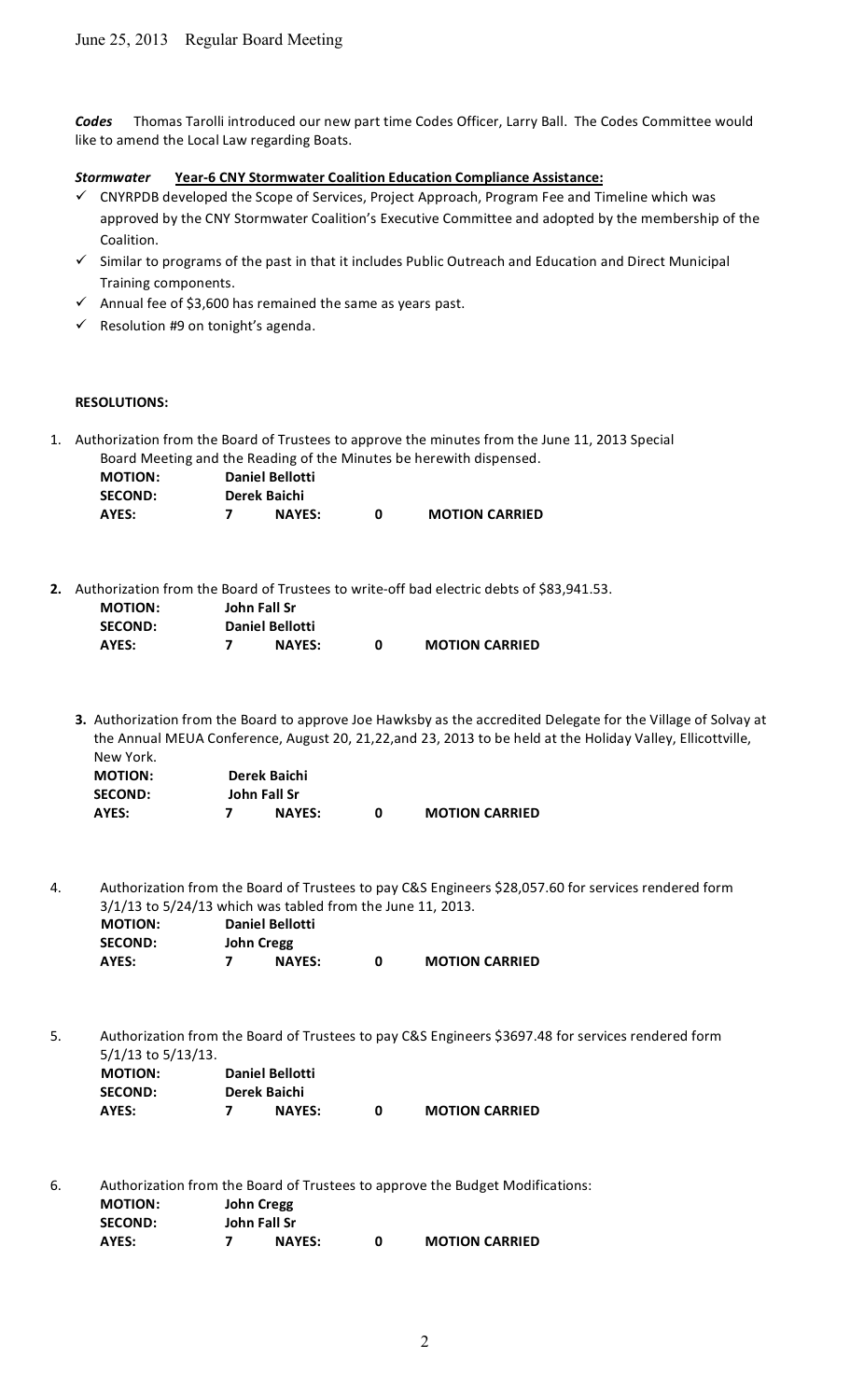Codes Thomas Tarolli introduced our new part time Codes Officer, Larry Ball. The Codes Committee would like
to
amend
the
Local
Law
regarding
Boats.

*Stormwater* **Year‐6
CNY
Stormwater
Coalition
Education
Compliance
Assistance:**

- ✓ CNYRPDB developed the Scope of Services, Project Approach, Program Fee and Timeline which was approved by the CNY Stormwater Coalition's Executive Committee and adopted by the membership of the Coalition.
- $\checkmark$  Similar to programs of the past in that it includes Public Outreach and Education and Direct Municipal Training
components.
- $\checkmark$  Annual fee of \$3,600 has remained the same as years past.
- $\checkmark$  Resolution #9 on tonight's agenda.

### **RESOLUTIONS:**

1. Authorization
from
the
Board
of
Trustees
to
approve
the
minutes
from
the
June
11,
2013 Special Board
Meeting
and
the
Reading
of
the
Minutes
be
herewith
dispensed.

| <b>MOTION:</b> |  | <b>Daniel Bellotti</b> |                       |
|----------------|--|------------------------|-----------------------|
| <b>SECOND:</b> |  | Derek Baichi           |                       |
| AYES:          |  | <b>NAYES:</b>          | <b>MOTION CARRIED</b> |

2. Authorization from the Board of Trustees to write-off bad electric debts of \$83,941.53.

| <b>MOTION:</b> | John Fall Sr           |   |                       |
|----------------|------------------------|---|-----------------------|
| <b>SECOND:</b> | <b>Daniel Bellotti</b> |   |                       |
| AYES:          | <b>NAYES:</b>          | n | <b>MOTION CARRIED</b> |

3. Authorization from the Board to approve Joe Hawksby as the accredited Delegate for the Village of Solvay at the Annual MEUA Conference, August 20, 21,22,and 23, 2013 to be held at the Holiday Valley, Ellicottville, New
York. **MOTION: Derek
Baichi**

| <b>MOTION:</b> | Derek Baichi  |                       |
|----------------|---------------|-----------------------|
| <b>SECOND:</b> | John Fall Sr  |                       |
| AYES:          | <b>NAYES:</b> | <b>MOTION CARRIED</b> |

4. Authorization from the Board of Trustees to pay C&S Engineers \$28,057.60 for services rendered form 3/1/13
to
5/24/13
which
was
tabled
from
the
June
11,
2013. **MOTION: Daniel
Bellotti**

| IVIUTIUIV.     |            | DAIIICI DEIIULLI |                       |
|----------------|------------|------------------|-----------------------|
| <b>SECOND:</b> | John Cregg |                  |                       |
| AYES:          |            | <b>NAYES:</b>    | <b>MOTION CARRIED</b> |

5. Authorization from the Board of Trustees to pay C&S Engineers \$3697.48 for services rendered form 5/1/13
to
5/13/13. **MOTION: Daniel
Bellotti**

| <b>SECOND:</b> | Derek Baichi  |                       |
|----------------|---------------|-----------------------|
| AYES:          | <b>NAYES:</b> | <b>MOTION CARRIED</b> |

6. Authorization
from
the
Board
of
Trustees
to
approve
the
Budget
Modifications: **MOTION: John
Cregg**

| <b>SECOND:</b> | John Fall Sr  |                       |
|----------------|---------------|-----------------------|
| AYES:          | <b>NAYES:</b> | <b>MOTION CARRIED</b> |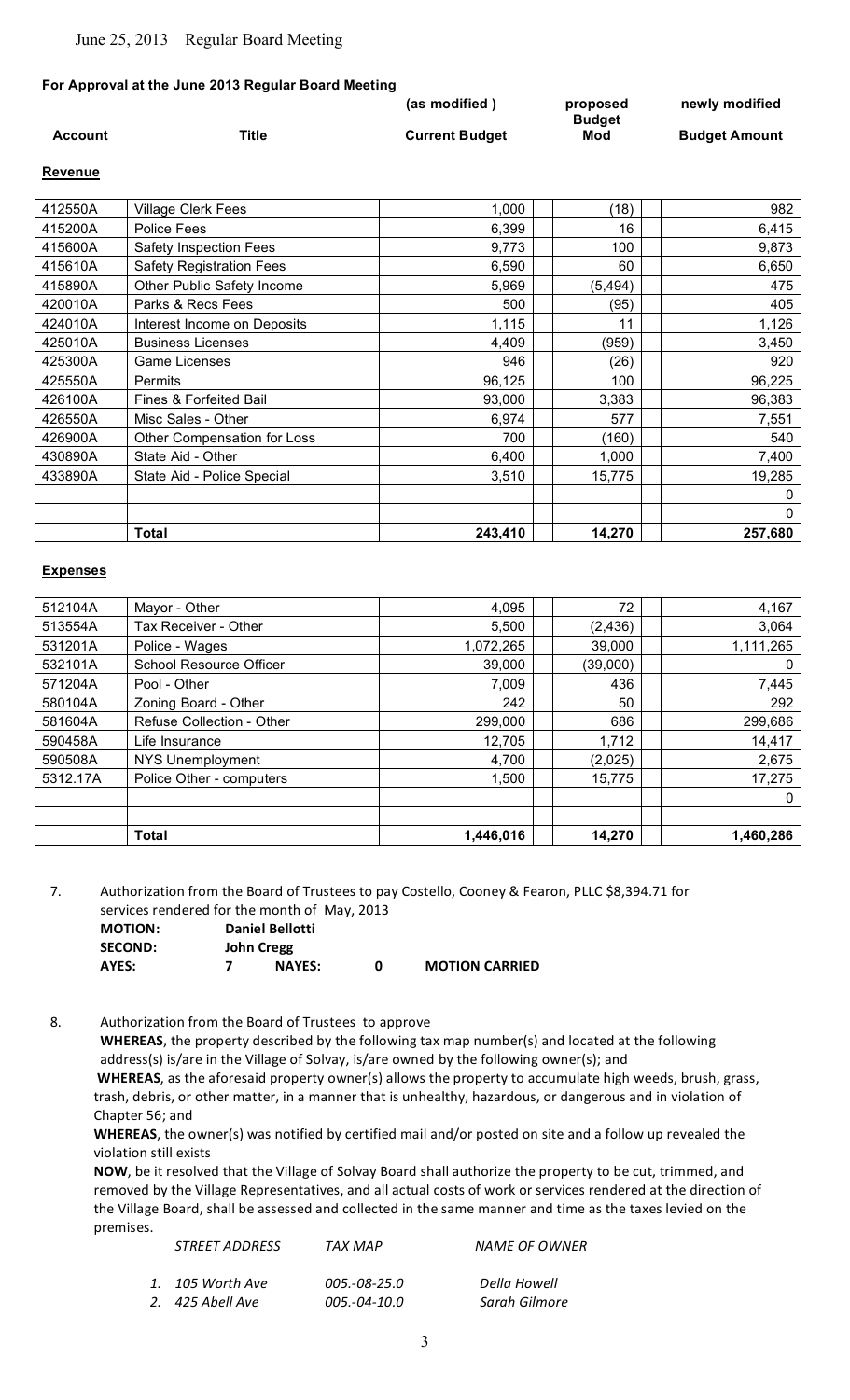### **For Approval at the June 2013 Regular Board Meeting**

|         |       | (as modified)         | proposed             | newly modified       |
|---------|-------|-----------------------|----------------------|----------------------|
| Account | Title | <b>Current Budget</b> | <b>Budget</b><br>Mod | <b>Budget Amount</b> |

#### **Revenue**

| 412550A | <b>Village Clerk Fees</b>       | 1,000   | (18)     | 982     |
|---------|---------------------------------|---------|----------|---------|
| 415200A | Police Fees                     | 6,399   | 16       | 6,415   |
| 415600A | Safety Inspection Fees          | 9,773   | 100      | 9,873   |
| 415610A | <b>Safety Registration Fees</b> | 6,590   | 60       | 6,650   |
| 415890A | Other Public Safety Income      | 5,969   | (5, 494) | 475     |
| 420010A | Parks & Recs Fees               | 500     | (95)     | 405     |
| 424010A | Interest Income on Deposits     | 1,115   | 11       | 1,126   |
| 425010A | <b>Business Licenses</b>        | 4,409   | (959)    | 3,450   |
| 425300A | Game Licenses                   | 946     | (26)     | 920     |
| 425550A | <b>Permits</b>                  | 96,125  | 100      | 96,225  |
| 426100A | Fines & Forfeited Bail          | 93,000  | 3,383    | 96,383  |
| 426550A | Misc Sales - Other              | 6,974   | 577      | 7,551   |
| 426900A | Other Compensation for Loss     | 700     | (160)    | 540     |
| 430890A | State Aid - Other               | 6,400   | 1,000    | 7,400   |
| 433890A | State Aid - Police Special      | 3,510   | 15,775   | 19,285  |
|         |                                 |         |          | 0       |
|         |                                 |         |          | 0       |
|         | <b>Total</b>                    | 243,410 | 14,270   | 257,680 |

### **Expenses**

| 512104A  | Mayor - Other                  | 4,095     | 72       | 4,167     |
|----------|--------------------------------|-----------|----------|-----------|
| 513554A  | Tax Receiver - Other           | 5,500     | (2, 436) | 3,064     |
| 531201A  | Police - Wages                 | 1,072,265 | 39,000   | 1,111,265 |
| 532101A  | <b>School Resource Officer</b> | 39,000    | (39,000) | 0         |
| 571204A  | Pool - Other                   | 7,009     | 436      | 7,445     |
| 580104A  | Zoning Board - Other           | 242       | 50       | 292       |
| 581604A  | Refuse Collection - Other      | 299,000   | 686      | 299,686   |
| 590458A  | Life Insurance                 | 12,705    | 1,712    | 14,417    |
| 590508A  | NYS Unemployment               | 4,700     | (2,025)  | 2,675     |
| 5312.17A | Police Other - computers       | 1,500     | 15,775   | 17,275    |
|          |                                |           |          | 0         |
|          |                                |           |          |           |
|          | <b>Total</b>                   | 1,446,016 | 14,270   | 1,460,286 |

7. Authorization from the Board of Trustees to pay Costello, Cooney & Fearon, PLLC \$8,394.71 for services
rendered
for
the
month
of

May,
2013

| <b>MOTION:</b> |            | <b>Daniel Bellotti</b> |   |                       |
|----------------|------------|------------------------|---|-----------------------|
| <b>SECOND:</b> | John Cregg |                        |   |                       |
| AYES:          |            | <b>NAYES:</b>          | n | <b>MOTION CARRIED</b> |

8. Authorization
from
the
Board
of
Trustees

to
approve

WHEREAS, the property described by the following tax map number(s) and located at the following address(s) is/are in the Village of Solvay, is/are owned by the following owner(s); and WHEREAS, as the aforesaid property owner(s) allows the property to accumulate high weeds, brush, grass, trash, debris, or other matter, in a manner that is unhealthy, hazardous, or dangerous and in violation of Chapter
56;
and

WHEREAS, the owner(s) was notified by certified mail and/or posted on site and a follow up revealed the violation
still
exists

NOW, be it resolved that the Village of Solvay Board shall authorize the property to be cut, trimmed, and removed by the Village Representatives, and all actual costs of work or services rendered at the direction of the Village Board, shall be assessed and collected in the same manner and time as the taxes levied on the premises.

| <i>STREET ADDRESS</i> | TAX MAP      | <b>NAME OF OWNER</b> |
|-----------------------|--------------|----------------------|
| 1. 105 Worth Ave      | 005.-08-25.0 | Della Howell         |
| 2. 425 Abell Ave      | 005.-04-10.0 | Sarah Gilmore        |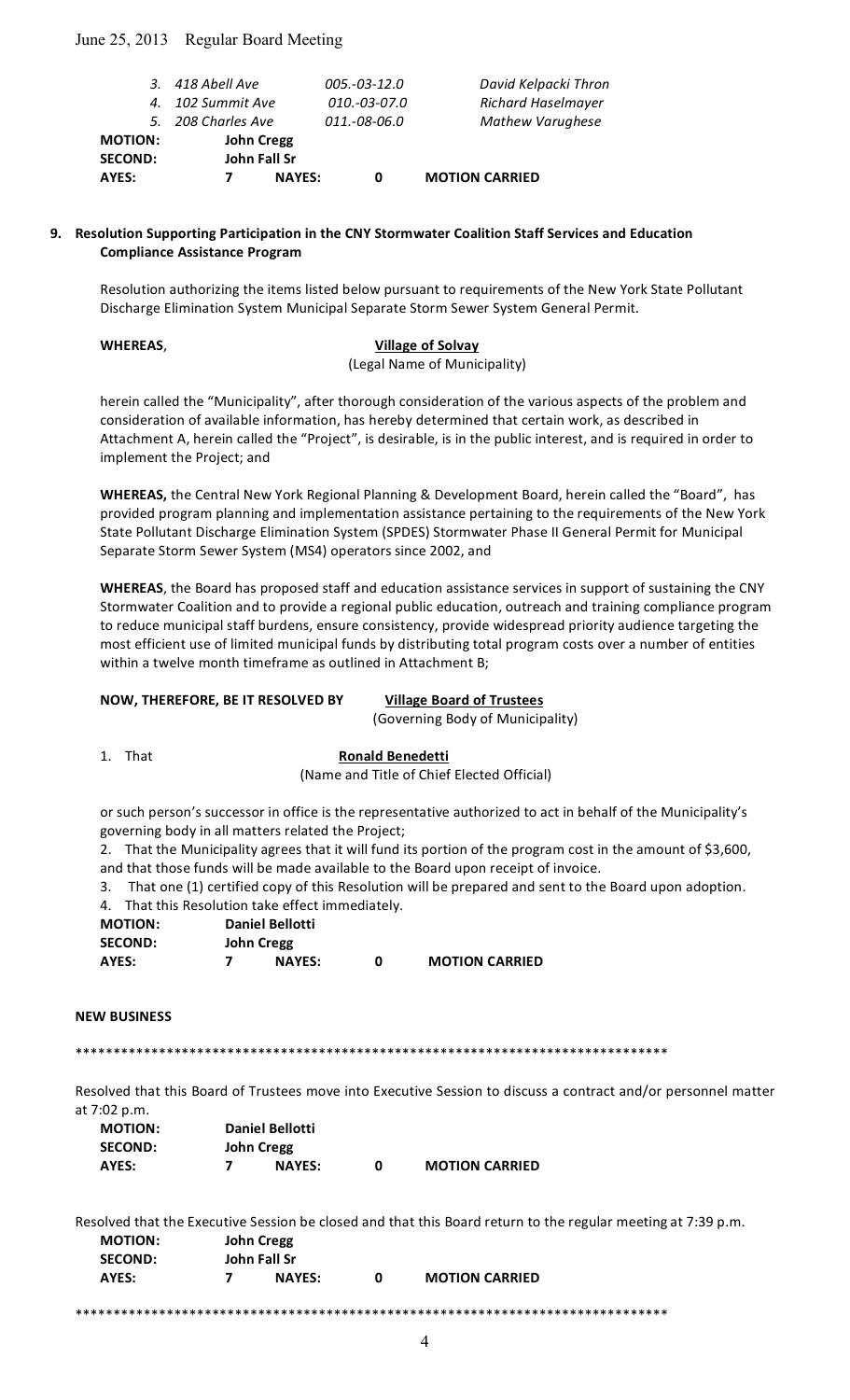## June 25, 2013 Regular Board Meeting

|                | 3. 418 Abell Ave   |               | $005.-03-12.0$ | David Kelpacki Thron      |
|----------------|--------------------|---------------|----------------|---------------------------|
|                | 4. 102 Summit Ave  |               | 010.-03-07.0   | <b>Richard Haselmayer</b> |
|                | 5. 208 Charles Ave |               | 011.-08-06.0   | <b>Mathew Varughese</b>   |
| <b>MOTION:</b> | <b>John Cregg</b>  |               |                |                           |
| <b>SECOND:</b> | John Fall Sr       |               |                |                           |
| AYES:          |                    | <b>NAYES:</b> | o              | <b>MOTION CARRIED</b>     |
|                |                    |               |                |                           |

### 9. Resolution Supporting Participation in the CNY Stormwater Coalition Staff Services and Education **Compliance
Assistance
Program**

Resolution authorizing the items listed below pursuant to requirements of the New York State Pollutant Discharge Elimination System Municipal Separate Storm Sewer System General Permit.

#### **WHEREAS**, **Village
of
Solvay** (Legal
Name
of
Municipality)

herein called the "Municipality", after thorough consideration of the various aspects of the problem and consideration
of
available
information,
has
hereby
determined
that
certain
work,
as
described
in Attachment A, herein called the "Project", is desirable, is in the public interest, and is required in order to implement
the
Project;
and

WHEREAS, the Central New York Regional Planning & Development Board, herein called the "Board", has provided program planning and implementation assistance pertaining to the requirements of the New York State Pollutant Discharge Elimination System (SPDES) Stormwater Phase II General Permit for Municipal Separate
Storm
Sewer
System
(MS4)
operators
since
2002,
and

WHEREAS, the Board has proposed staff and education assistance services in support of sustaining the CNY Stormwater Coalition and to provide a regional public education, outreach and training compliance program to reduce municipal staff burdens, ensure consistency, provide widespread priority audience targeting the most efficient use of limited municipal funds by distributing total program costs over a number of entities within a twelve month timeframe as outlined in Attachment B;

# **NOW,
THEREFORE,
BE
IT
RESOLVED
BY Village
Board
of
Trustees**

#### (Governing
Body
of
Municipality)

1. That **Ronald
Benedetti**

(Name
and
Title
of
Chief
Elected
Official)

or such person's successor in office is the representative authorized to act in behalf of the Municipality's governing
body
in
all
matters
related
the
Project;

2. That the Municipality agrees that it will fund its portion of the program cost in the amount of \$3,600, and that those funds will be made available to the Board upon receipt of invoice.

3. That
one
(1)
certified
copy
of
this
Resolution
will
be
prepared
and
sent
to
the
Board
upon
adoption. That this Pesolution take effect immediately

| 4. THRU LITS NESORULION LANE EFFECT INTITIEDIATELY. |            |               |   |                       |
|-----------------------------------------------------|------------|---------------|---|-----------------------|
| <b>MOTION:</b><br><b>Daniel Bellotti</b>            |            |               |   |                       |
| <b>SECOND:</b>                                      | John Cregg |               |   |                       |
| AYES:                                               |            | <b>NAYES:</b> | O | <b>MOTION CARRIED</b> |

#### **NEW
BUSINESS**

\*\*\*\*\*\*\*\*\*\*\*\*\*\*\*\*\*\*\*\*\*\*\*\*\*\*\*\*\*\*\*\*\*\*\*\*\*\*\*\*\*\*\*\*\*\*\*\*\*\*\*\*\*\*\*\*\*\*\*\*\*\*\*\*\*\*\*\*\*\*\*\*\*\*\*\*\*\*

Resolved that this Board of Trustees move into Executive Session to discuss a contract and/or personnel matter at
7:02
p.m.

| <b>MOTION:</b> | <b>Daniel Bellotti</b> |  |                       |  |
|----------------|------------------------|--|-----------------------|--|
| <b>SECOND:</b> | John Cregg             |  |                       |  |
| AYES:          | <b>NAYES:</b>          |  | <b>MOTION CARRIED</b> |  |

Resolved that the Executive Session be closed and that this Board return to the regular meeting at 7:39 p.m.

| <b>MOTION:</b> | John Cregg   |               |   |                       |  |
|----------------|--------------|---------------|---|-----------------------|--|
| <b>SECOND:</b> | John Fall Sr |               |   |                       |  |
| AYES:          |              | <b>NAYES:</b> | n | <b>MOTION CARRIED</b> |  |
|                |              |               |   |                       |  |

\*\*\*\*\*\*\*\*\*\*\*\*\*\*\*\*\*\*\*\*\*\*\*\*\*\*\*\*\*\*\*\*\*\*\*\*\*\*\*\*\*\*\*\*\*\*\*\*\*\*\*\*\*\*\*\*\*\*\*\*\*\*\*\*\*\*\*\*\*\*\*\*\*\*\*\*\*\*